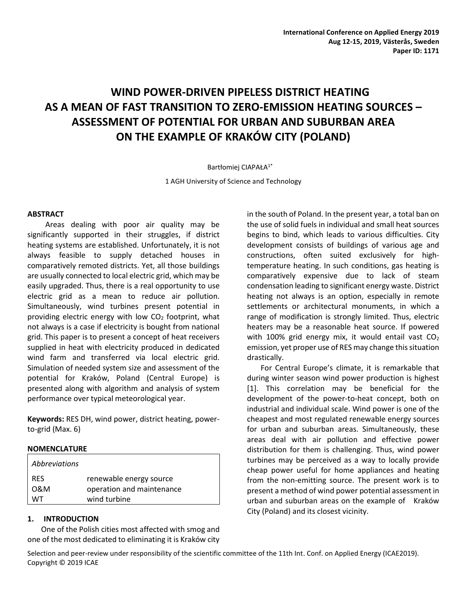# **WIND POWER-DRIVEN PIPELESS DISTRICT HEATING AS A MEAN OF FAST TRANSITION TO ZERO-EMISSION HEATING SOURCES – ASSESSMENT OF POTENTIAL FOR URBAN AND SUBURBAN AREA ON THE EXAMPLE OF KRAKÓW CITY (POLAND)**

Bartłomiej CIAPAŁA1\*

1 AGH University of Science and Technology

## **ABSTRACT**

Areas dealing with poor air quality may be significantly supported in their struggles, if district heating systems are established. Unfortunately, it is not always feasible to supply detached houses in comparatively remoted districts. Yet, all those buildings are usually connected to local electric grid, which may be easily upgraded. Thus, there is a real opportunity to use electric grid as a mean to reduce air pollution. Simultaneously, wind turbines present potential in providing electric energy with low  $CO<sub>2</sub>$  footprint, what not always is a case if electricity is bought from national grid. This paper is to present a concept of heat receivers supplied in heat with electricity produced in dedicated wind farm and transferred via local electric grid. Simulation of needed system size and assessment of the potential for Kraków, Poland (Central Europe) is presented along with algorithm and analysis of system performance over typical meteorological year.

**Keywords:** RES DH, wind power, district heating, powerto-grid (Max. 6)

## **NOMENCLATURE**

| Abbreviations |                           |
|---------------|---------------------------|
| <b>RES</b>    | renewable energy source   |
| 0&M           | operation and maintenance |
| WT.           | wind turbine              |

# **1. INTRODUCTION**

One of the Polish cities most affected with smog and one of the most dedicated to eliminating it is Kraków city in the south of Poland. In the present year, a total ban on the use of solid fuels in individual and small heat sources begins to bind, which leads to various difficulties. City development consists of buildings of various age and constructions, often suited exclusively for hightemperature heating. In such conditions, gas heating is comparatively expensive due to lack of steam condensation leading to significant energy waste. District heating not always is an option, especially in remote settlements or architectural monuments, in which a range of modification is strongly limited. Thus, electric heaters may be a reasonable heat source. If powered with 100% grid energy mix, it would entail vast  $CO<sub>2</sub>$ emission, yet proper use of RES may change this situation drastically.

For Central Europe's climate, it is remarkable that during winter season wind power production is highest [1]. This correlation may be beneficial for the development of the power-to-heat concept, both on industrial and individual scale. Wind power is one of the cheapest and most regulated renewable energy sources for urban and suburban areas. Simultaneously, these areas deal with air pollution and effective power distribution for them is challenging. Thus, wind power turbines may be perceived as a way to locally provide cheap power useful for home appliances and heating from the non-emitting source. The present work is to present a method of wind power potential assessment in urban and suburban areas on the example of Kraków City (Poland) and its closest vicinity.

Selection and peer-review under responsibility of the scientific committee of the 11th Int. Conf. on Applied Energy (ICAE2019). Copyright © 2019 ICAE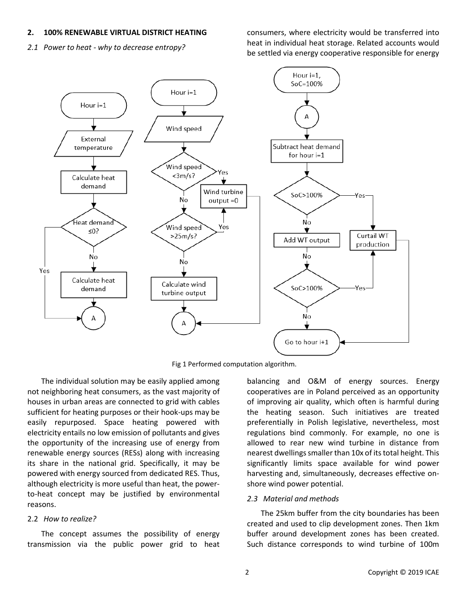#### **2. 100% RENEWABLE VIRTUAL DISTRICT HEATING**

*2.1 Power to heat - why to decrease entropy?*

consumers, where electricity would be transferred into heat in individual heat storage. Related accounts would be settled via energy cooperative responsible for energy



Fig 1 Performed computation algorithm.

The individual solution may be easily applied among not neighboring heat consumers, as the vast majority of houses in urban areas are connected to grid with cables sufficient for heating purposes or their hook-ups may be easily repurposed. Space heating powered with electricity entails no low emission of pollutants and gives the opportunity of the increasing use of energy from renewable energy sources (RESs) along with increasing its share in the national grid. Specifically, it may be powered with energy sourced from dedicated RES. Thus, although electricity is more useful than heat, the powerto-heat concept may be justified by environmental reasons.

#### 2.2 *How to realize?*

The concept assumes the possibility of energy transmission via the public power grid to heat balancing and O&M of energy sources. Energy cooperatives are in Poland perceived as an opportunity of improving air quality, which often is harmful during the heating season. Such initiatives are treated preferentially in Polish legislative, nevertheless, most regulations bind commonly. For example, no one is allowed to rear new wind turbine in distance from nearest dwellings smaller than 10x of its total height. This significantly limits space available for wind power harvesting and, simultaneously, decreases effective onshore wind power potential.

### *2.3 Material and methods*

The 25km buffer from the city boundaries has been created and used to clip development zones. Then 1km buffer around development zones has been created. Such distance corresponds to wind turbine of 100m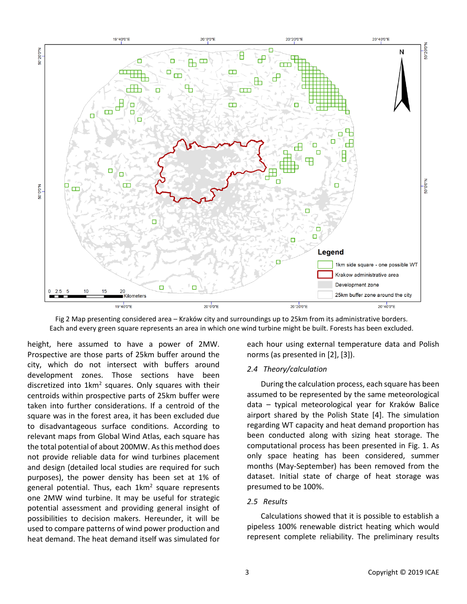

Fig 2 Map presenting considered area – Kraków city and surroundings up to 25km from its administrative borders. Each and every green square represents an area in which one wind turbine might be built. Forests has been excluded.

height, here assumed to have a power of 2MW. Prospective are those parts of 25km buffer around the city, which do not intersect with buffers around development zones. Those sections have been discretized into  $1 \text{km}^2$  squares. Only squares with their centroids within prospective parts of 25km buffer were taken into further considerations. If a centroid of the square was in the forest area, it has been excluded due to disadvantageous surface conditions. According to relevant maps from Global Wind Atlas, each square has the total potential of about 200MW. As this method does not provide reliable data for wind turbines placement and design (detailed local studies are required for such purposes), the power density has been set at 1% of general potential. Thus, each  $1$ km<sup>2</sup> square represents one 2MW wind turbine. It may be useful for strategic potential assessment and providing general insight of possibilities to decision makers. Hereunder, it will be used to compare patterns of wind power production and heat demand. The heat demand itself was simulated for

each hour using external temperature data and Polish norms (as presented in [2], [3]).

# *2.4 Theory/calculation*

During the calculation process, each square has been assumed to be represented by the same meteorological data – typical meteorological year for Kraków Balice airport shared by the Polish State [4]. The simulation regarding WT capacity and heat demand proportion has been conducted along with sizing heat storage. The computational process has been presented in Fig. 1. As only space heating has been considered, summer months (May-September) has been removed from the dataset. Initial state of charge of heat storage was presumed to be 100%.

# *2.5 Results*

Calculations showed that it is possible to establish a pipeless 100% renewable district heating which would represent complete reliability. The preliminary results